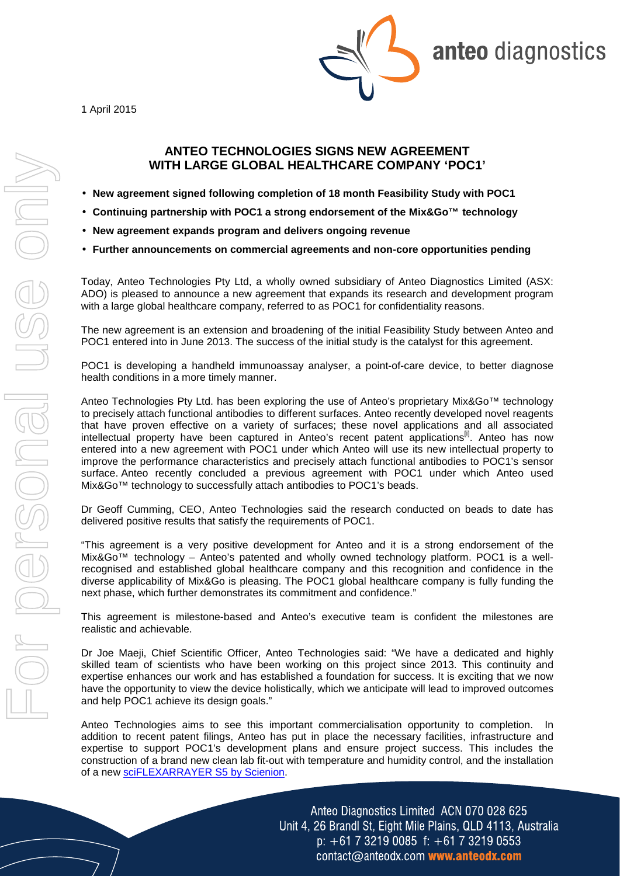1 April 2015



anteo diagnostics

## **ANTEO TECHNOLOGIES SIGNS NEW AGREEMENT WITH LARGE GLOBAL HEALTHCARE COMPANY 'POC1'**

- **New agreement signed following completion of 18 month Feasibility Study with POC1**
- **Continuing partnership with POC1 a strong endorsement of the Mix&Go™ technology**
- **New agreement expands program and delivers ongoing revenue**
- **Further announcements on commercial agreements and non-core opportunities pending**

Today, Anteo Technologies Pty Ltd, a wholly owned subsidiary of Anteo Diagnostics Limited (ASX: ADO) is pleased to announce a new agreement that expands its research and development program with a large global healthcare company, referred to as POC1 for confidentiality reasons.

The new agreement is an extension and broadening of the initial Feasibility Study between Anteo and POC1 entered into in June 2013. The success of the initial study is the catalyst for this agreement.

POC1 is developing a handheld immunoassay analyser, a point-of-care device, to better diagnose health conditions in a more timely manner.

Anteo Technologies Pty Ltd. has been exploring the use of Anteo's proprietary Mix&Go™ technology to precisely attach functional antibodies to different surfaces. Anteo recently developed novel reagents that have proven effective on a variety of surfaces; these novel applications and all associated intellectual property have been captured in Anteo's recent patent applications<sup>[i]</sup>. Anteo has now entered into a new agreement with POC1 under which Anteo will use its new intellectual property to improve the performance characteristics and precisely attach functional antibodies to POC1's sensor surface. Anteo recently concluded a previous agreement with POC1 under which Anteo used Mix&Go™ technology to successfully attach antibodies to POC1's beads.

Dr Geoff Cumming, CEO, Anteo Technologies said the research conducted on beads to date has delivered positive results that satisfy the requirements of POC1.

"This agreement is a very positive development for Anteo and it is a strong endorsement of the Mix&Go™ technology – Anteo's patented and wholly owned technology platform. POC1 is a wellrecognised and established global healthcare company and this recognition and confidence in the diverse applicability of Mix&Go is pleasing. The POC1 global healthcare company is fully funding the next phase, which further demonstrates its commitment and confidence."

This agreement is milestone-based and Anteo's executive team is confident the milestones are realistic and achievable.

Dr Joe Maeji, Chief Scientific Officer, Anteo Technologies said: "We have a dedicated and highly skilled team of scientists who have been working on this project since 2013. This continuity and expertise enhances our work and has established a foundation for success. It is exciting that we now have the opportunity to view the device holistically, which we anticipate will lead to improved outcomes and help POC1 achieve its design goals."

Anteo Technologies aims to see this important commercialisation opportunity to completion. In addition to recent patent filings, Anteo has put in place the necessary facilities, infrastructure and expertise to support POC1's development plans and ensure project success. This includes the construction of a brand new clean lab fit-out with temperature and humidity control, and the installation of a new sciFLEXARRAYER S5 by Scienion.

> Anteo Diagnostics Limited ACN 070 028 625 Unit 4, 26 Brandl St, Eight Mile Plains, QLD 4113, Australia  $p: +61732190085$  f:  $+61732190553$ contact@anteodx.com www.anteodx.com